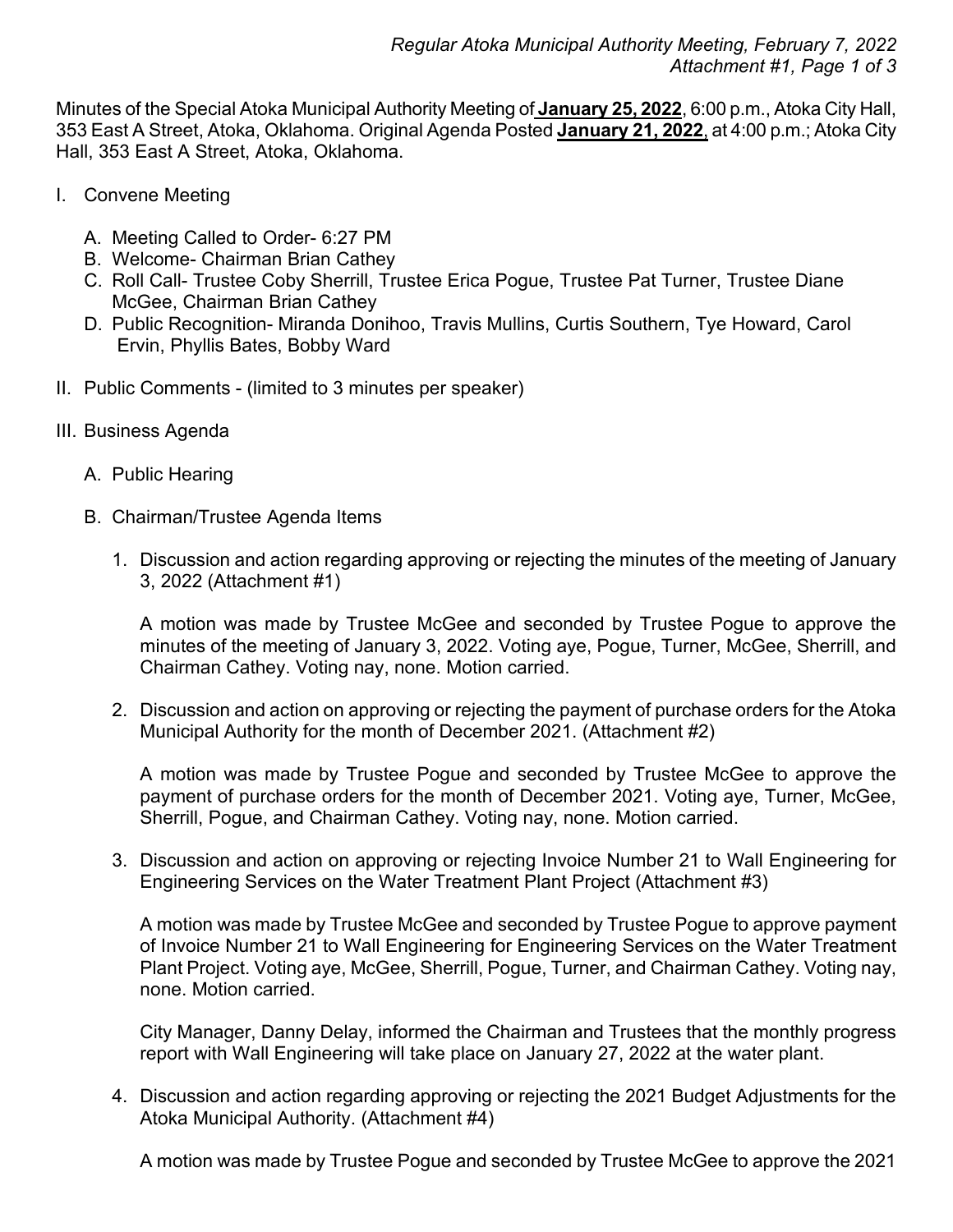Minutes of the Special Atoka Municipal Authority Meeting of **January 25, 2022**, 6:00 p.m., Atoka City Hall, 353 East A Street, Atoka, Oklahoma. Original Agenda Posted **January 21, 2022**, at 4:00 p.m.; Atoka City Hall, 353 East A Street, Atoka, Oklahoma.

- I. Convene Meeting
	- A. Meeting Called to Order- 6:27 PM
	- B. Welcome- Chairman Brian Cathey
	- C. Roll Call- Trustee Coby Sherrill, Trustee Erica Pogue, Trustee Pat Turner, Trustee Diane McGee, Chairman Brian Cathey
	- D. Public Recognition- Miranda Donihoo, Travis Mullins, Curtis Southern, Tye Howard, Carol Ervin, Phyllis Bates, Bobby Ward
- II. Public Comments (limited to 3 minutes per speaker)
- III. Business Agenda
	- A. Public Hearing
	- B. Chairman/Trustee Agenda Items
		- 1. Discussion and action regarding approving or rejecting the minutes of the meeting of January 3, 2022 (Attachment #1)

A motion was made by Trustee McGee and seconded by Trustee Pogue to approve the minutes of the meeting of January 3, 2022. Voting aye, Pogue, Turner, McGee, Sherrill, and Chairman Cathey. Voting nay, none. Motion carried.

2. Discussion and action on approving or rejecting the payment of purchase orders for the Atoka Municipal Authority for the month of December 2021. (Attachment #2)

A motion was made by Trustee Pogue and seconded by Trustee McGee to approve the payment of purchase orders for the month of December 2021. Voting aye, Turner, McGee, Sherrill, Pogue, and Chairman Cathey. Voting nay, none. Motion carried.

3. Discussion and action on approving or rejecting Invoice Number 21 to Wall Engineering for Engineering Services on the Water Treatment Plant Project (Attachment #3)

A motion was made by Trustee McGee and seconded by Trustee Pogue to approve payment of Invoice Number 21 to Wall Engineering for Engineering Services on the Water Treatment Plant Project. Voting aye, McGee, Sherrill, Pogue, Turner, and Chairman Cathey. Voting nay, none. Motion carried.

City Manager, Danny Delay, informed the Chairman and Trustees that the monthly progress report with Wall Engineering will take place on January 27, 2022 at the water plant.

4. Discussion and action regarding approving or rejecting the 2021 Budget Adjustments for the Atoka Municipal Authority. (Attachment #4)

A motion was made by Trustee Pogue and seconded by Trustee McGee to approve the 2021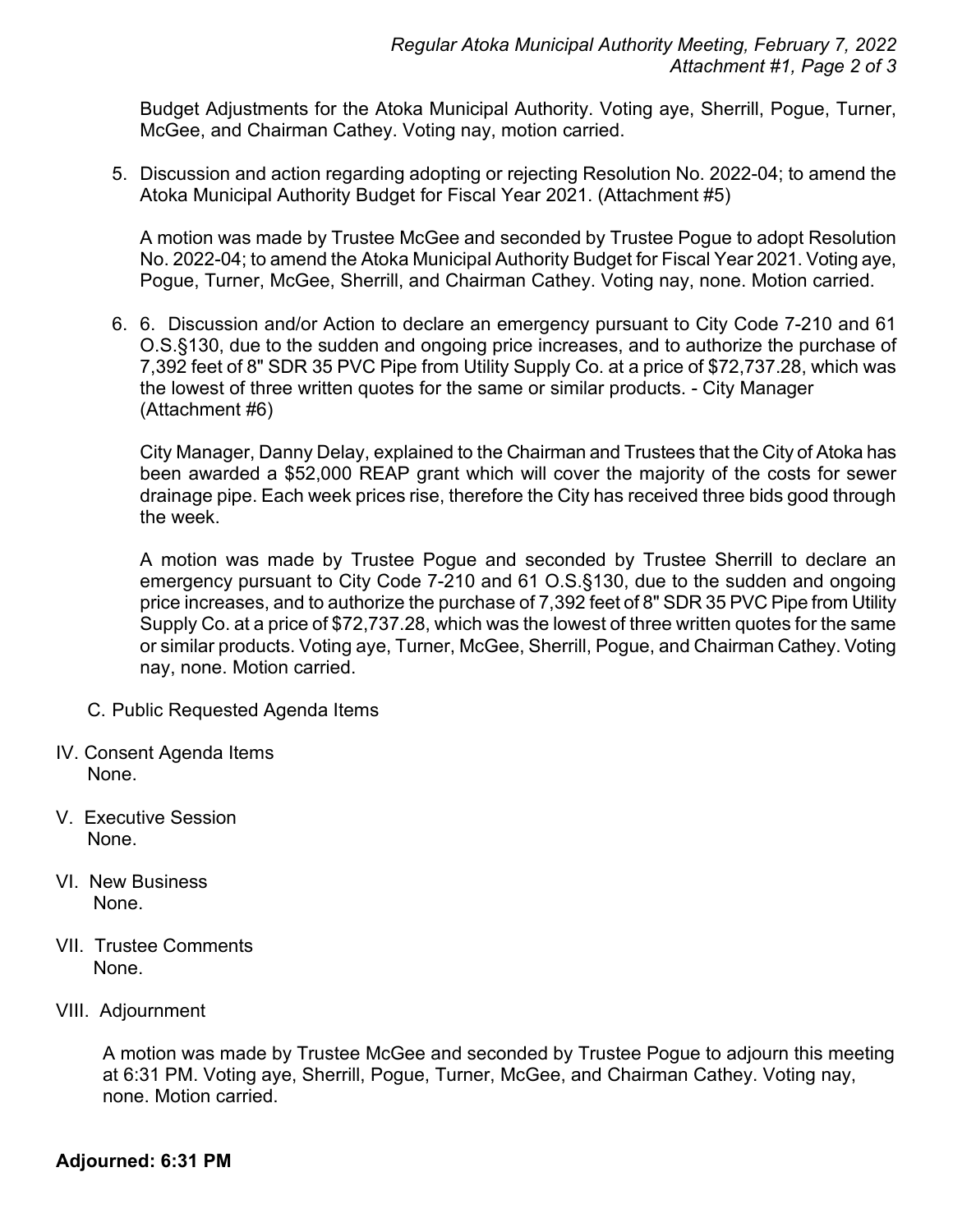Budget Adjustments for the Atoka Municipal Authority. Voting aye, Sherrill, Pogue, Turner, McGee, and Chairman Cathey. Voting nay, motion carried.

5. Discussion and action regarding adopting or rejecting Resolution No. 2022-04; to amend the Atoka Municipal Authority Budget for Fiscal Year 2021. (Attachment #5)

A motion was made by Trustee McGee and seconded by Trustee Pogue to adopt Resolution No. 2022-04; to amend the Atoka Municipal Authority Budget for Fiscal Year 2021. Voting aye, Pogue, Turner, McGee, Sherrill, and Chairman Cathey. Voting nay, none. Motion carried.

6. 6. Discussion and/or Action to declare an emergency pursuant to City Code 7-210 and 61 O.S.§130, due to the sudden and ongoing price increases, and to authorize the purchase of 7,392 feet of 8" SDR 35 PVC Pipe from Utility Supply Co. at a price of \$72,737.28, which was the lowest of three written quotes for the same or similar products. - City Manager (Attachment #6)

City Manager, Danny Delay, explained to the Chairman and Trustees that the City of Atoka has been awarded a \$52,000 REAP grant which will cover the majority of the costs for sewer drainage pipe. Each week prices rise, therefore the City has received three bids good through the week.

A motion was made by Trustee Pogue and seconded by Trustee Sherrill to declare an emergency pursuant to City Code 7-210 and 61 O.S.§130, due to the sudden and ongoing price increases, and to authorize the purchase of 7,392 feet of 8" SDR 35 PVC Pipe from Utility Supply Co. at a price of \$72,737.28, which was the lowest of three written quotes for the same or similar products. Voting aye, Turner, McGee, Sherrill, Pogue, and Chairman Cathey. Voting nay, none. Motion carried.

- C. Public Requested Agenda Items
- IV. Consent Agenda Items None.
- V. Executive Session None.
- VI. New Business None.
- VII. Trustee Comments None.
- VIII. Adjournment

A motion was made by Trustee McGee and seconded by Trustee Pogue to adjourn this meeting at 6:31 PM. Voting aye, Sherrill, Pogue, Turner, McGee, and Chairman Cathey. Voting nay, none. Motion carried.